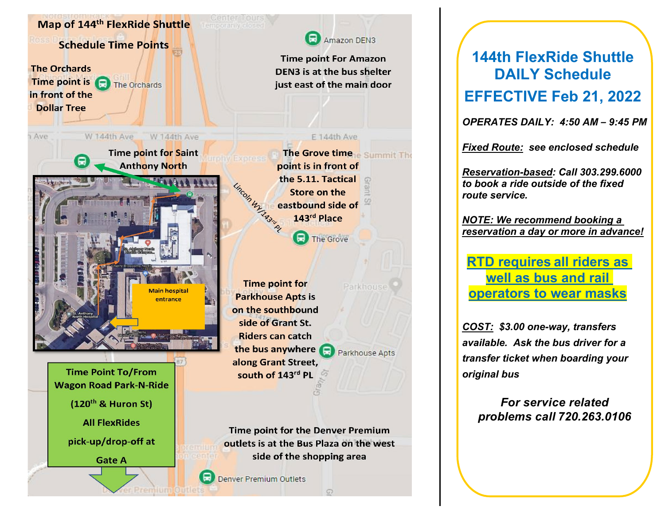

## **144th FlexRide Shuttle DAILY Schedule EFFECTIVE Feb 21, 2022**

*OPERATES DAILY: 4:50 AM – 9:45 PM*

*Fixed Route: see enclosed schedule*

*Reservation-based: Call 303.299.6000 to book a ride outside of the fixed route service.*

*NOTE: We recommend booking a reservation a day or more in advance!*

**RTD requires [all riders as](https://www.rtd-denver.com/news-stop/news/everyones-safety-rtd-asks-all-riders-to-wear-face-covering-agency-requires-all-bus)  [well as bus and rail](https://www.rtd-denver.com/news-stop/news/everyones-safety-rtd-asks-all-riders-to-wear-face-covering-agency-requires-all-bus)  [operators to wear masks](https://www.rtd-denver.com/news-stop/news/everyones-safety-rtd-asks-all-riders-to-wear-face-covering-agency-requires-all-bus)**

*COST: \$3.00 one-way, transfers available. Ask the bus driver for a transfer ticket when boarding your original bus*

*For service related problems call 720.263.0106*